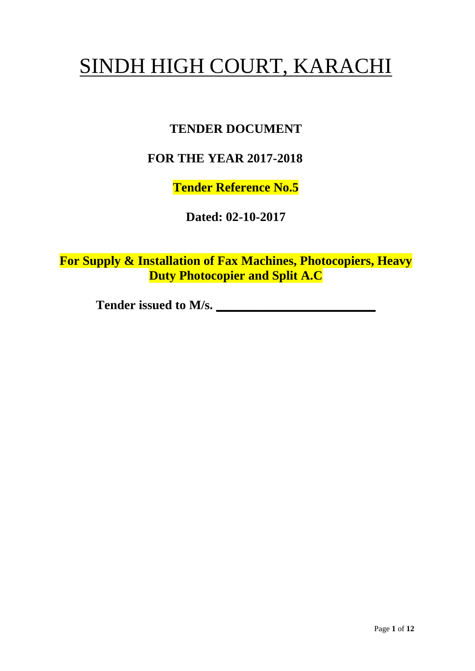# SINDH HIGH COURT, KARACHI

# **TENDER DOCUMENT**

# **FOR THE YEAR 2017-2018**

**Tender Reference No.5**

**Dated: 02-10-2017**

**For Supply & Installation of Fax Machines, Photocopiers, Heavy Duty Photocopier and Split A.C**

**Tender issued to M/s. \_\_\_\_\_\_\_\_\_\_\_\_\_\_\_\_\_\_\_\_\_\_\_\_\_**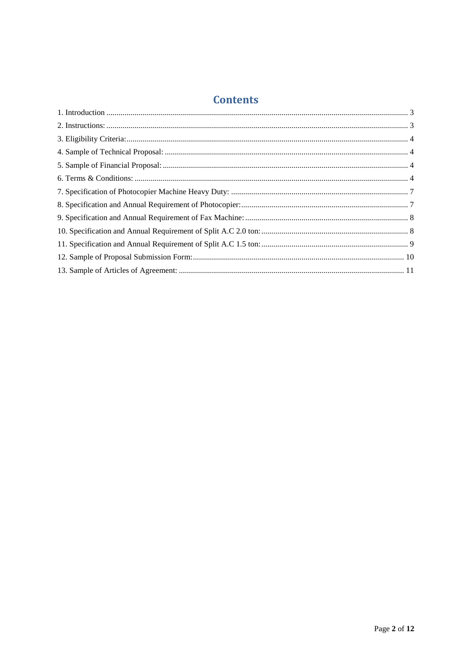# **Contents**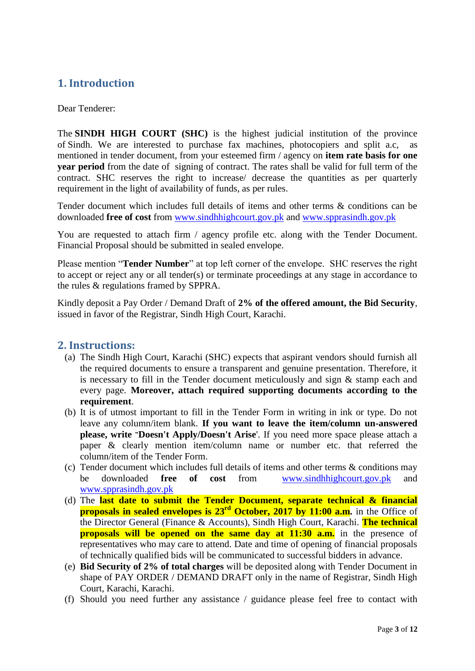# <span id="page-2-0"></span>**1. Introduction**

#### Dear Tenderer:

The **SINDH HIGH COURT (SHC)** is the highest judicial institution of the province of [Sindh.](https://en.wikipedia.org/wiki/Sindh) We are interested to purchase fax machines, photocopiers and split a.c, as mentioned in tender document, from your esteemed firm / agency on **item rate basis for one year period** from the date of signing of contract. The rates shall be valid for full term of the contract. SHC reserves the right to increase/ decrease the quantities as per quarterly requirement in the light of availability of funds, as per rules.

Tender document which includes full details of items and other terms & conditions can be downloaded **free of cost** from [www.sindhhighcourt.gov.pk](http://www.sindhhighcourt.gov.pk/) and [www.spprasindh.gov.pk](http://www.spprasindh.gov.pk/)

You are requested to attach firm / agency profile etc. along with the Tender Document. Financial Proposal should be submitted in sealed envelope.

Please mention "**Tender Number**" at top left corner of the envelope. SHC reserves the right to accept or reject any or all tender(s) or terminate proceedings at any stage in accordance to the rules & regulations framed by SPPRA.

Kindly deposit a Pay Order / Demand Draft of **2% of the offered amount, the Bid Security**, issued in favor of the Registrar, Sindh High Court, Karachi.

#### <span id="page-2-1"></span>**2. Instructions:**

- (a) The Sindh High Court, Karachi (SHC) expects that aspirant vendors should furnish all the required documents to ensure a transparent and genuine presentation. Therefore, it is necessary to fill in the Tender document meticulously and sign & stamp each and every page. **Moreover, attach required supporting documents according to the requirement**.
- (b) It is of utmost important to fill in the Tender Form in writing in ink or type. Do not leave any column/item blank. **If you want to leave the item/column un-answered please, write "Doesn't Apply/Doesn't Arise**'. If you need more space please attach a paper & clearly mention item/column name or number etc. that referred the column/item of the Tender Form.
- (c) Tender document which includes full details of items and other terms & conditions may be downloaded **free of cost** from [www.sindhhighcourt.gov.pk](http://www.sindhhighcourt.gov.pk/) and [www.spprasindh.gov.pk](http://www.spprasindh.gov.pk/)
- (d) The **last date to submit the Tender Document, separate technical & financial proposals in sealed envelopes is 23rd October, 2017 by 11:00 a.m.** in the Office of the Director General (Finance & Accounts), Sindh High Court, Karachi. **The technical proposals will be opened on the same day at 11:30 a.m.** in the presence of representatives who may care to attend. Date and time of opening of financial proposals of technically qualified bids will be communicated to successful bidders in advance.
- (e) **Bid Security of 2% of total charges** will be deposited along with Tender Document in shape of PAY ORDER / DEMAND DRAFT only in the name of Registrar, Sindh High Court, Karachi, Karachi.
- (f) Should you need further any assistance / guidance please feel free to contact with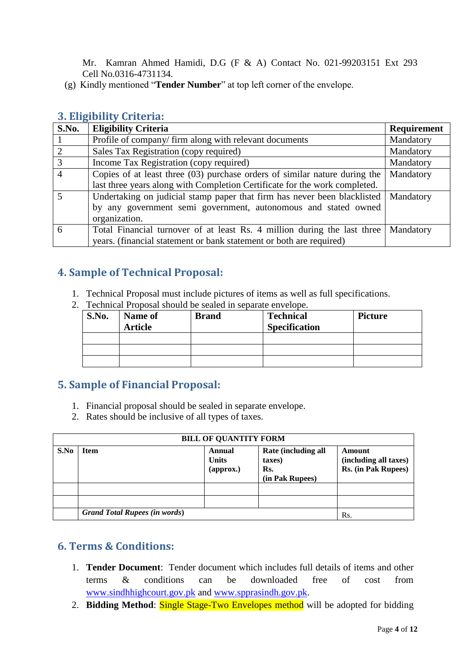Mr. Kamran Ahmed Hamidi, D.G (F & A) Contact No. 021-99203151 Ext 293 Cell No.0316-4731134.

<span id="page-3-0"></span>(g) Kindly mentioned "**Tender Number**" at top left corner of the envelope.

#### **3. Eligibility Criteria:**

| S.No.          | <b>Eligibility Criteria</b>                                                          | <b>Requirement</b> |
|----------------|--------------------------------------------------------------------------------------|--------------------|
|                | Profile of company/firm along with relevant documents                                | Mandatory          |
| $\mathcal{D}$  | Sales Tax Registration (copy required)                                               | Mandatory          |
| 3              | Income Tax Registration (copy required)                                              | Mandatory          |
| $\overline{4}$ | Copies of at least three $(03)$ purchase orders of similar nature during the         | Mandatory          |
|                | last three years along with Completion Certificate for the work completed.           |                    |
|                | Undertaking on judicial stamp paper that firm has never been blacklisted   Mandatory |                    |
|                | by any government semi government, autonomous and stated owned                       |                    |
|                | organization.                                                                        |                    |
| 6              | Total Financial turnover of at least Rs. 4 million during the last three             | Mandatory          |
|                | years. (financial statement or bank statement or both are required)                  |                    |

### <span id="page-3-1"></span>**4. Sample of Technical Proposal:**

- 1. Technical Proposal must include pictures of items as well as full specifications.
- 2. Technical Proposal should be sealed in separate envelope.

| S.No. | Name of<br><b>Article</b> | <b>Brand</b> | <b>Technical</b><br><b>Specification</b> | <b>Picture</b> |
|-------|---------------------------|--------------|------------------------------------------|----------------|
|       |                           |              |                                          |                |
|       |                           |              |                                          |                |
|       |                           |              |                                          |                |

# <span id="page-3-2"></span>**5. Sample of Financial Proposal:**

- 1. Financial proposal should be sealed in separate envelope.
- 2. Rates should be inclusive of all types of taxes.

| <b>BILL OF QUANTITY FORM</b> |                                      |                                     |                                                         |                                                        |
|------------------------------|--------------------------------------|-------------------------------------|---------------------------------------------------------|--------------------------------------------------------|
| S.No                         | <b>Item</b>                          | Annual<br><b>Units</b><br>(approx.) | Rate (including all<br>taxes)<br>Rs.<br>(in Pak Rupees) | Amount<br>(including all taxes)<br>Rs. (in Pak Rupees) |
|                              |                                      |                                     |                                                         |                                                        |
|                              |                                      |                                     |                                                         |                                                        |
|                              | <b>Grand Total Rupees (in words)</b> |                                     |                                                         | $\rm Rs$                                               |

### <span id="page-3-3"></span>**6. Terms & Conditions:**

- 1. **Tender Document**: Tender document which includes full details of items and other terms & conditions can be downloaded free of cost from [www.sindhhighcourt.gov.pk](http://www.sindhhighcourt.gov.pk/) and [www.spprasindh.gov.pk.](http://www.spprasindh.gov.pk/)
- 2. **Bidding Method**: Single Stage-Two Envelopes method will be adopted for bidding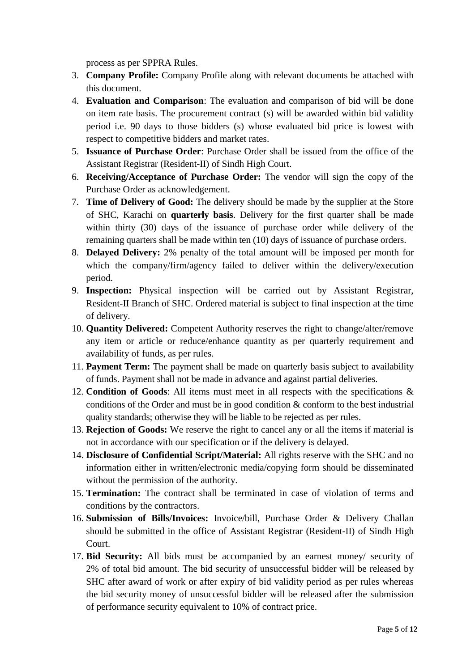process as per SPPRA Rules.

- 3. **Company Profile:** Company Profile along with relevant documents be attached with this document.
- 4. **Evaluation and Comparison**: The evaluation and comparison of bid will be done on item rate basis. The procurement contract (s) will be awarded within bid validity period i.e. 90 days to those bidders (s) whose evaluated bid price is lowest with respect to competitive bidders and market rates.
- 5. **Issuance of Purchase Order**: Purchase Order shall be issued from the office of the Assistant Registrar (Resident-II) of Sindh High Court.
- 6. **Receiving/Acceptance of Purchase Order:** The vendor will sign the copy of the Purchase Order as acknowledgement.
- 7. **Time of Delivery of Good:** The delivery should be made by the supplier at the Store of SHC, Karachi on **quarterly basis**. Delivery for the first quarter shall be made within thirty (30) days of the issuance of purchase order while delivery of the remaining quarters shall be made within ten (10) days of issuance of purchase orders.
- 8. **Delayed Delivery:** 2% penalty of the total amount will be imposed per month for which the company/firm/agency failed to deliver within the delivery/execution period.
- 9. **Inspection:** Physical inspection will be carried out by Assistant Registrar, Resident-II Branch of SHC. Ordered material is subject to final inspection at the time of delivery.
- 10. **Quantity Delivered:** Competent Authority reserves the right to change/alter/remove any item or article or reduce/enhance quantity as per quarterly requirement and availability of funds, as per rules.
- 11. **Payment Term:** The payment shall be made on quarterly basis subject to availability of funds. Payment shall not be made in advance and against partial deliveries.
- 12. **Condition of Goods**: All items must meet in all respects with the specifications & conditions of the Order and must be in good condition & conform to the best industrial quality standards; otherwise they will be liable to be rejected as per rules.
- 13. **Rejection of Goods:** We reserve the right to cancel any or all the items if material is not in accordance with our specification or if the delivery is delayed.
- 14. **Disclosure of Confidential Script/Material:** All rights reserve with the SHC and no information either in written/electronic media/copying form should be disseminated without the permission of the authority.
- 15. **Termination:** The contract shall be terminated in case of violation of terms and conditions by the contractors.
- 16. **Submission of Bills/Invoices:** Invoice/bill, Purchase Order & Delivery Challan should be submitted in the office of Assistant Registrar (Resident-II) of Sindh High Court.
- 17. **Bid Security:** All bids must be accompanied by an earnest money/ security of 2% of total bid amount. The bid security of unsuccessful bidder will be released by SHC after award of work or after expiry of bid validity period as per rules whereas the bid security money of unsuccessful bidder will be released after the submission of performance security equivalent to 10% of contract price.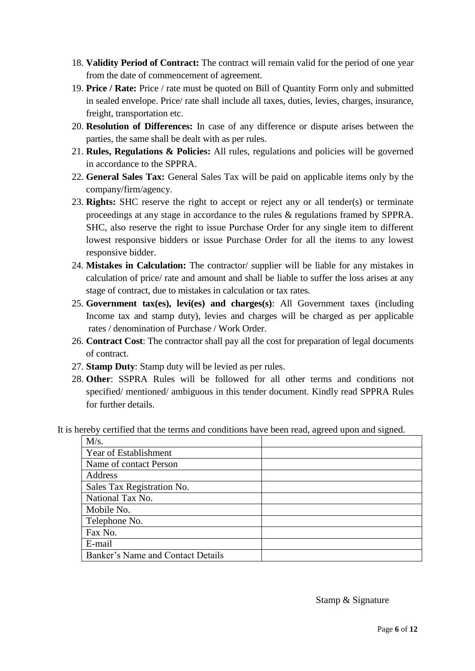- 18. **Validity Period of Contract:** The contract will remain valid for the period of one year from the date of commencement of agreement.
- 19. **Price / Rate:** Price / rate must be quoted on Bill of Quantity Form only and submitted in sealed envelope. Price/ rate shall include all taxes, duties, levies, charges, insurance, freight, transportation etc.
- 20. **Resolution of Differences:** In case of any difference or dispute arises between the parties, the same shall be dealt with as per rules.
- 21. **Rules, Regulations & Policies:** All rules, regulations and policies will be governed in accordance to the SPPRA.
- 22. **General Sales Tax:** General Sales Tax will be paid on applicable items only by the company/firm/agency.
- 23. **Rights:** SHC reserve the right to accept or reject any or all tender(s) or terminate proceedings at any stage in accordance to the rules & regulations framed by SPPRA. SHC, also reserve the right to issue Purchase Order for any single item to different lowest responsive bidders or issue Purchase Order for all the items to any lowest responsive bidder.
- 24. **Mistakes in Calculation:** The contractor/ supplier will be liable for any mistakes in calculation of price/ rate and amount and shall be liable to suffer the loss arises at any stage of contract, due to mistakes in calculation or tax rates.
- 25. **Government tax(es), levi(es) and charges(s)**: All Government taxes (including Income tax and stamp duty), levies and charges will be charged as per applicable rates / denomination of Purchase / Work Order.
- 26. **Contract Cost**: The contractor shall pay all the cost for preparation of legal documents of contract.
- 27. **Stamp Duty**: Stamp duty will be levied as per rules.
- 28. **Other**: SSPRA Rules will be followed for all other terms and conditions not specified/ mentioned/ ambiguous in this tender document. Kindly read SPPRA Rules for further details.

It is hereby certified that the terms and conditions have been read, agreed upon and signed.

| M/s.                              |  |
|-----------------------------------|--|
| <b>Year of Establishment</b>      |  |
| Name of contact Person            |  |
| Address                           |  |
| Sales Tax Registration No.        |  |
| National Tax No.                  |  |
| Mobile No.                        |  |
| Telephone No.                     |  |
| Fax No.                           |  |
| E-mail                            |  |
| Banker's Name and Contact Details |  |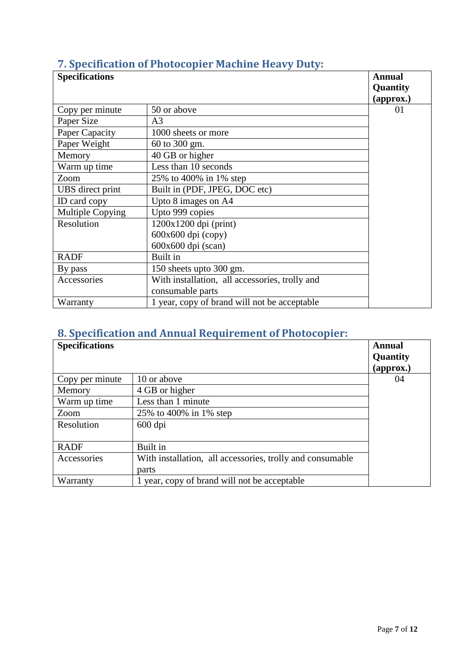| <b>Specifications</b> |                                                | <b>Annual</b><br>Quantity |
|-----------------------|------------------------------------------------|---------------------------|
|                       |                                                | (approx.)                 |
| Copy per minute       | 50 or above                                    | 01                        |
| Paper Size            | A <sub>3</sub>                                 |                           |
| Paper Capacity        | 1000 sheets or more                            |                           |
| Paper Weight          | 60 to 300 gm.                                  |                           |
| Memory                | 40 GB or higher                                |                           |
| Warm up time          | Less than 10 seconds                           |                           |
| Zoom                  | 25% to 400% in 1% step                         |                           |
| UBS direct print      | Built in (PDF, JPEG, DOC etc)                  |                           |
| ID card copy          | Upto 8 images on A4                            |                           |
| Multiple Copying      | Upto 999 copies                                |                           |
| Resolution            | $1200x1200$ dpi (print)                        |                           |
|                       | $600x600$ dpi $(copy)$                         |                           |
|                       | $600x600$ dpi (scan)                           |                           |
| <b>RADF</b>           | Built in                                       |                           |
| By pass               | 150 sheets upto 300 gm.                        |                           |
| Accessories           | With installation, all accessories, trolly and |                           |
|                       | consumable parts                               |                           |
| Warranty              | 1 year, copy of brand will not be acceptable   |                           |

# <span id="page-6-0"></span>**7. Specification of Photocopier Machine Heavy Duty:**

# <span id="page-6-1"></span>**8. Specification and Annual Requirement of Photocopier:**

| <b>Specifications</b> |                                                           | <b>Annual</b><br>Quantity  |
|-----------------------|-----------------------------------------------------------|----------------------------|
|                       |                                                           | $\left($ approx. $\right)$ |
| Copy per minute       | 10 or above                                               | 04                         |
| Memory                | 4 GB or higher                                            |                            |
| Warm up time          | Less than 1 minute                                        |                            |
| Zoom                  | 25% to 400% in 1% step                                    |                            |
| Resolution            | $600$ dpi                                                 |                            |
|                       |                                                           |                            |
| <b>RADF</b>           | Built in                                                  |                            |
| Accessories           | With installation, all accessories, trolly and consumable |                            |
|                       | parts                                                     |                            |
| Warranty              | 1 year, copy of brand will not be acceptable              |                            |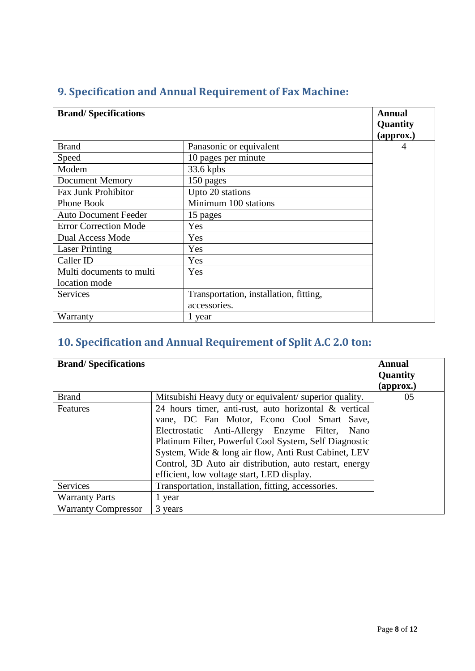| <b>Brand/Specifications</b>  |                                        | <b>Annual</b><br>Quantity<br>(approx.) |
|------------------------------|----------------------------------------|----------------------------------------|
| <b>Brand</b>                 | Panasonic or equivalent                | 4                                      |
| Speed                        | 10 pages per minute                    |                                        |
| Modem                        | 33.6 kpbs                              |                                        |
| <b>Document Memory</b>       | 150 pages                              |                                        |
| <b>Fax Junk Prohibitor</b>   | Upto 20 stations                       |                                        |
| <b>Phone Book</b>            | Minimum 100 stations                   |                                        |
| <b>Auto Document Feeder</b>  | 15 pages                               |                                        |
| <b>Error Correction Mode</b> | Yes                                    |                                        |
| <b>Dual Access Mode</b>      | Yes                                    |                                        |
| <b>Laser Printing</b>        | Yes                                    |                                        |
| Caller ID                    | Yes                                    |                                        |
| Multi documents to multi     | Yes                                    |                                        |
| location mode                |                                        |                                        |
| Services                     | Transportation, installation, fitting, |                                        |
|                              | accessories.                           |                                        |
| Warranty                     | 1 year                                 |                                        |

# <span id="page-7-0"></span>**9. Specification and Annual Requirement of Fax Machine:**

# <span id="page-7-1"></span>**10. Specification and Annual Requirement of Split A.C 2.0 ton:**

| <b>Brand/Specifications</b> |                                                         | Annual<br>Quantity |
|-----------------------------|---------------------------------------------------------|--------------------|
|                             |                                                         | (approx.)          |
| <b>Brand</b>                | Mitsubishi Heavy duty or equivalent/superior quality.   | 05                 |
| Features                    | 24 hours timer, anti-rust, auto horizontal & vertical   |                    |
|                             | vane, DC Fan Motor, Econo Cool Smart Save,              |                    |
|                             | Electrostatic Anti-Allergy Enzyme Filter,<br>Nano       |                    |
|                             | Platinum Filter, Powerful Cool System, Self Diagnostic  |                    |
|                             | System, Wide & long air flow, Anti Rust Cabinet, LEV    |                    |
|                             | Control, 3D Auto air distribution, auto restart, energy |                    |
|                             | efficient, low voltage start, LED display.              |                    |
| <b>Services</b>             | Transportation, installation, fitting, accessories.     |                    |
| <b>Warranty Parts</b>       | 1 year                                                  |                    |
| <b>Warranty Compressor</b>  | 3 years                                                 |                    |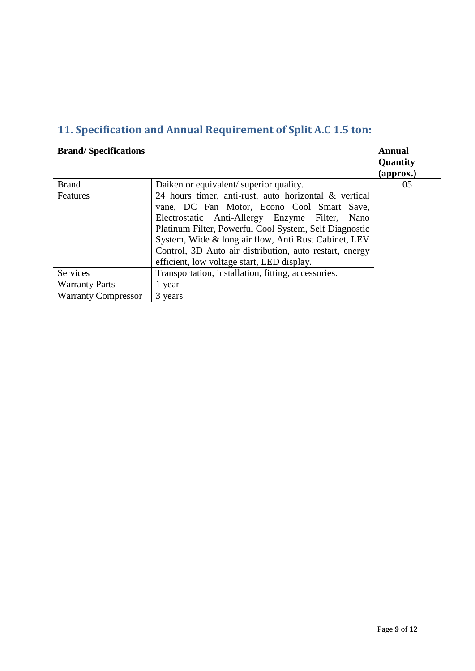<span id="page-8-0"></span>

| <b>Brand/Specifications</b> |                                                         | Annual                     |
|-----------------------------|---------------------------------------------------------|----------------------------|
|                             |                                                         | Quantity                   |
|                             |                                                         | $\left($ approx. $\right)$ |
| <b>Brand</b>                | Daiken or equivalent/ superior quality.                 | 05                         |
| Features                    | 24 hours timer, anti-rust, auto horizontal & vertical   |                            |
|                             | vane, DC Fan Motor, Econo Cool Smart Save,              |                            |
|                             | Electrostatic Anti-Allergy Enzyme Filter, Nano          |                            |
|                             | Platinum Filter, Powerful Cool System, Self Diagnostic  |                            |
|                             | System, Wide & long air flow, Anti Rust Cabinet, LEV    |                            |
|                             | Control, 3D Auto air distribution, auto restart, energy |                            |
|                             | efficient, low voltage start, LED display.              |                            |
| Services                    | Transportation, installation, fitting, accessories.     |                            |
| <b>Warranty Parts</b>       | 1 year                                                  |                            |
| <b>Warranty Compressor</b>  | 3 years                                                 |                            |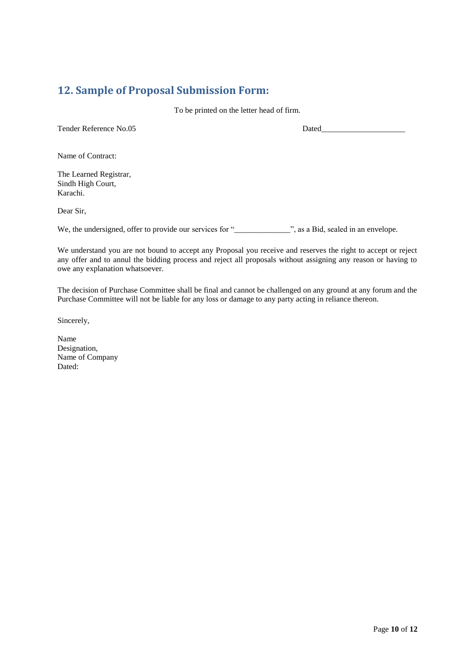### <span id="page-9-0"></span>**12. Sample of Proposal Submission Form:**

To be printed on the letter head of firm.

Tender Reference No.05 Dated

Name of Contract:

The Learned Registrar, Sindh High Court, Karachi.

Dear Sir,

We, the undersigned, offer to provide our services for "\_\_\_\_\_\_\_\_\_\_\_\_\_\_\_", as a Bid, sealed in an envelope.

We understand you are not bound to accept any Proposal you receive and reserves the right to accept or reject any offer and to annul the bidding process and reject all proposals without assigning any reason or having to owe any explanation whatsoever.

The decision of Purchase Committee shall be final and cannot be challenged on any ground at any forum and the Purchase Committee will not be liable for any loss or damage to any party acting in reliance thereon.

Sincerely,

Name Designation, Name of Company Dated: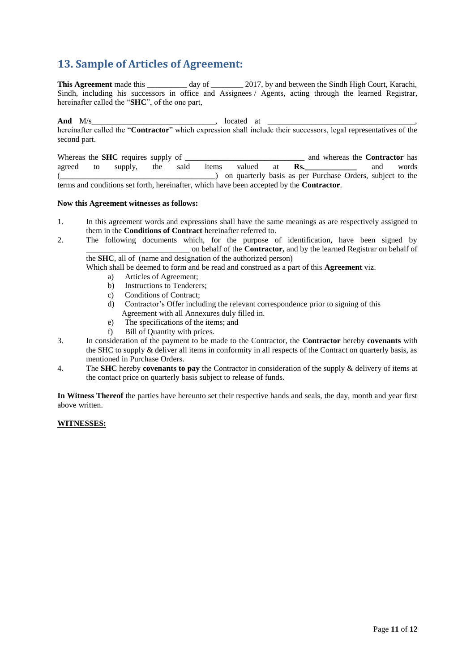# <span id="page-10-0"></span>**13. Sample of Articles of Agreement:**

**This Agreement** made this day of 2017, by and between the Sindh High Court, Karachi, Sindh, including his successors in office and Assignees / Agents, acting through the learned Registrar, hereinafter called the "**SHC**", of the one part,

**And** M/s\_\_\_\_\_\_\_\_\_\_\_\_\_\_\_\_\_\_\_\_\_\_\_\_\_\_\_\_\_\_\_, located at \_\_\_\_\_\_\_\_\_\_\_\_\_\_\_\_\_\_\_\_\_\_\_\_\_\_\_\_\_\_\_\_\_\_\_\_\_, hereinafter called the "**Contractor**" which expression shall include their successors, legal representatives of the second part.

Whereas the **SHC** requires supply of **\_\_\_\_\_\_\_\_\_\_\_\_\_\_\_\_\_\_\_\_\_\_\_\_\_\_\_\_\_\_** and whereas the **Contractor** has agreed to supply, the said items valued at **Rs.\_\_\_\_\_\_\_\_\_\_\_\_\_** and words (\_\_\_\_\_\_\_\_\_\_\_\_\_\_\_\_\_\_\_\_\_\_\_\_\_\_\_\_\_\_\_\_\_\_\_\_\_\_\_) on quarterly basis as per Purchase Orders, subject to the terms and conditions set forth, hereinafter, which have been accepted by the **Contractor**.

#### **Now this Agreement witnesses as follows:**

- 1. In this agreement words and expressions shall have the same meanings as are respectively assigned to them in the **Conditions of Contract** hereinafter referred to.
- 2. The following documents which, for the purpose of identification, have been signed by \_\_\_\_\_\_\_\_\_\_\_\_\_\_\_\_\_\_\_\_\_\_\_\_\_\_ on behalf of the **Contractor,** and by the learned Registrar on behalf of the **SHC**, all of (name and designation of the authorized person)

Which shall be deemed to form and be read and construed as a part of this **Agreement** viz.

- a) Articles of Agreement;
- b) Instructions to Tenderers;
- c) Conditions of Contract;
- d) Contractor"s Offer including the relevant correspondence prior to signing of this Agreement with all Annexures duly filled in.
- e) The specifications of the items; and
- f) Bill of Quantity with prices.
- 3. In consideration of the payment to be made to the Contractor, the **Contractor** hereby **covenants** with the SHC to supply & deliver all items in conformity in all respects of the Contract on quarterly basis, as mentioned in Purchase Orders.
- 4. The **SHC** hereby **covenants to pay** the Contractor in consideration of the supply & delivery of items at the contact price on quarterly basis subject to release of funds.

**In Witness Thereof** the parties have hereunto set their respective hands and seals, the day, month and year first above written.

#### **WITNESSES:**